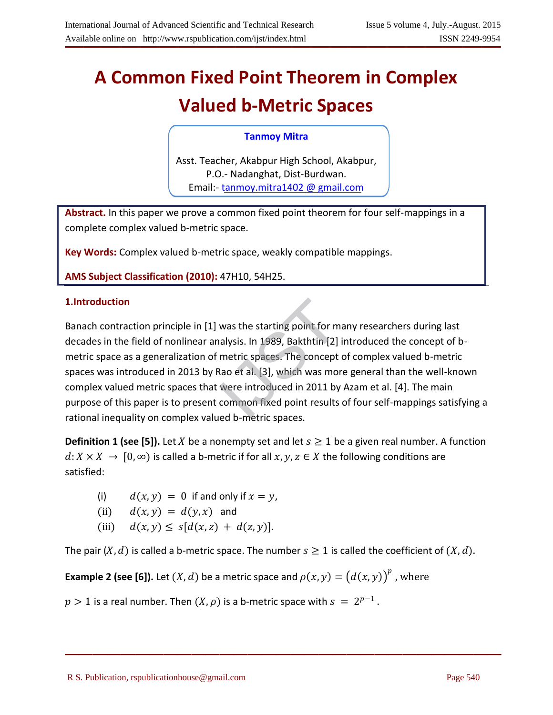# **A Common Fixed Point Theorem in Complex Valued b-Metric Spaces**

# **Tanmoy Mitra**

Asst. Teacher, Akabpur High School, Akabpur, P.O.- Nadanghat, Dist-Burdwan. Email: [tanmoy.mitra1402](mailto:tanmoy.mitra1402@gmail.com) @ gmail.com

**Abstract.** In this paper we prove a common fixed point theorem for four self-mappings in a complete complex valued b-metric space.

**Key Words:** Complex valued b-metric space, weakly compatible mappings.

**AMS Subject Classification (2010):** 47H10, 54H25.

Banach contraction principle in [1] was the starting point for many researchers during last decades in the field of nonlinear analysis. In 1989, Bakthtin [2] introduced the concept of bmetric space as a generalization of metric spaces. The concept of complex valued b-metric spaces was introduced in 2013 by Rao et al. [3], which was more general than the well-known complex valued metric spaces that were introduced in 2011 by Azam et al. [4]. The main purpose of this paper is to present common fixed point results of four self-mappings satisfying a rational inequality on complex valued b-metric spaces. **1.Introduction**<br>Banach contraction principle in [1] was the starting point for m<br>decades in the field of nonlinear analysis. In 1989, Bakthtin [2]<br>metric space as a generalization of metric spaces. The concept<br>spaces was

**Definition 1 (see [5]).** Let *X* be a nonempty set and let  $s \ge 1$  be a given real number. A function  $d: X \times X \to [0, \infty)$  is called a b-metric if for all  $x, y, z \in X$  the following conditions are satisfied:

(i)  $d(x, y) = 0$  if and only if  $x = y$ ,

(ii) 
$$
d(x, y) = d(y, x)
$$
 and

(iii) 
$$
d(x,y) \leq s[d(x,z) + d(z,y)].
$$

The pair  $(X, d)$  is called a b-metric space. The number  $s \ge 1$  is called the coefficient of  $(X, d)$ .

 $\mathcal{L}=\{1,2,3,4\}$  , we can assume that  $\mathcal{L}=\{1,2,3,4\}$  , we can assume that  $\mathcal{L}=\{1,2,3,4\}$ 

**Example 2 (see [6]).** Let  $(X, d)$  be a metric space and  $\rho(x, y) = (d(x, y))^p$  , where

 $p > 1$  is a real number. Then  $(X, \rho)$  is a b-metric space with  $s ~=~ 2^{p - 1}$  .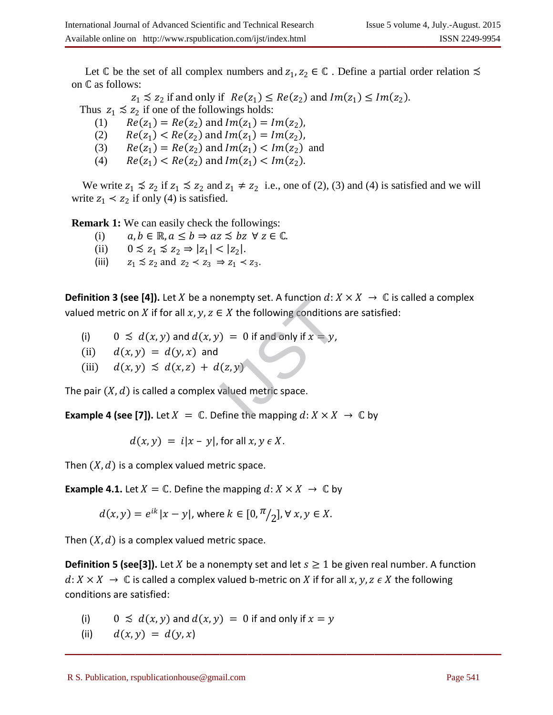Let  $\mathbb C$  be the set of all complex numbers and  $z_1, z_2 \in \mathbb C$ . Define a partial order relation  $\precsim$ on  $\mathbb C$  as follows:

 $z_1 \lesssim z_2$  if and only if  $Re(z_1) \leq Re(z_2)$  and  $Im(z_1) \leq Im(z_2)$ .

Thus  $z_1 \lesssim z_2$  if one of the followings holds:

(1)  $Re(z_1) = Re(z_2)$  and  $Im(z_1) = Im(z_2)$ ,

(2)  $Re(z_1) < Re(z_2)$  and  $Im(z_1) = Im(z_2)$ ,

(3)  $Re(z_1) = Re(z_2)$  and  $Im(z_1) < Im(z_2)$  and

(4)  $Re(z_1) < Re(z_2)$  and  $Im(z_1) < Im(z_2)$ .

We write  $z_1 \le z_2$  if  $z_1 \le z_2$  and  $z_1 \ne z_2$  i.e., one of (2), (3) and (4) is satisfied and we will write  $z_1 \leq z_2$  if only (4) is satisfied.

**Remark 1:** We can easily check the followings:

- (i)  $a, b \in \mathbb{R}, a \leq b \Rightarrow az \leq bz \forall z \in \mathbb{C}.$
- (ii)  $0 \leq z_1 \leq z_2 \Rightarrow |z_1| < |z_2|$ .
- (iii)  $z_1 \precsim z_2$  and  $z_2 \prec z_3 \Rightarrow z_1 \prec z_3$ .

**Definition 3 (see [4]).** Let X be a nonempty set. A function  $d: X \times X \rightarrow \mathbb{C}$  is called a complex valued metric on X if for all  $x, y, z \in X$  the following conditions are satisfied: Solution a: X<br>  $\in$  X the following conditions<br>  $\varphi$ ) = 0 if and only if  $x = y$ ,<br>  $\varphi$ <br>  $\varphi$ <br>  $\varphi$ <br>  $\varphi$ <br>  $\varphi$ <br>  $\varphi$ <br>  $\varphi$ <br>  $\varphi$ <br>  $\varphi$ <br>  $\varphi$ <br>  $\varphi$ <br>  $\varphi$ <br>  $\varphi$ <br>  $\varphi$ <br>  $\varphi$ <br>  $\varphi$ <br>  $\varphi$ <br>  $\varphi$ <br>  $\varphi$ <br>  $\varphi$ <br>

- (i)  $0 \leq d(x, y)$  and  $d(x, y) = 0$  if and only if  $x = y$ ,
- (ii)  $d(x, y) = d(y, x)$  and
- (iii)  $d(x, y) \preceq d(x, z) + d(z, y)$

The pair  $(X, d)$  is called a complex valued metric space.

**Example 4 (see [7]).** Let  $X = \mathbb{C}$ . Define the mapping  $d: X \times X \to \mathbb{C}$  by

$$
d(x, y) = i|x - y|, \text{ for all } x, y \in X.
$$

Then  $(X, d)$  is a complex valued metric space.

**Example 4.1.** Let  $X = \mathbb{C}$ . Define the mapping  $d: X \times X \to \mathbb{C}$  by

$$
d(x, y) = e^{ik} |x - y|, \text{ where } k \in [0, \frac{\pi}{2}], \forall x, y \in X.
$$

Then  $(X, d)$  is a complex valued metric space.

**Definition 5 (see[3]).** Let X be a nonempty set and let  $s \ge 1$  be given real number. A function  $d: X \times X \to \mathbb{C}$  is called a complex valued b-metric on X if for all  $x, y, z \in X$  the following conditions are satisfied:

- (i)  $0 \leq d(x, y)$  and  $d(x, y) = 0$  if and only if  $x = y$
- (ii)  $d(x, y) = d(y, x)$  $u(x, y) = u(y, x)$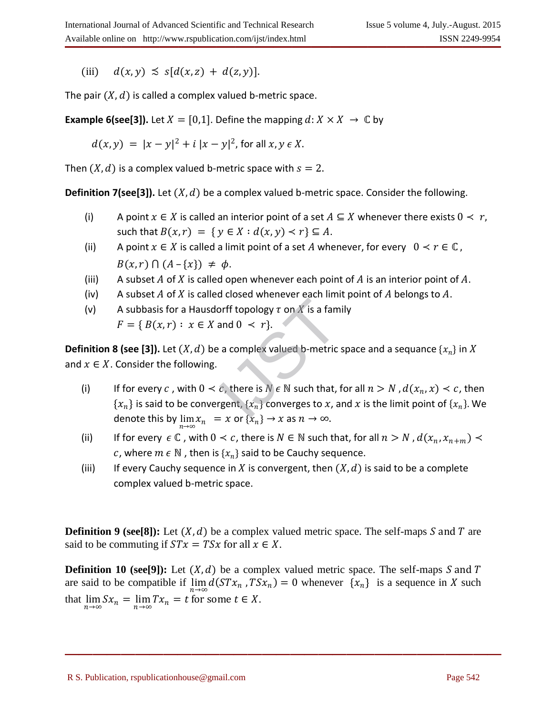(iii)  $d(x, y) \leq s[d(x, z) + d(z, y)].$ 

The pair  $(X, d)$  is called a complex valued b-metric space.

**Example 6(see[3]).** Let  $X = [0,1]$ . Define the mapping  $d: X \times X \rightarrow \mathbb{C}$  by

$$
d(x, y) = |x - y|^2 + i |x - y|^2, \text{ for all } x, y \in X.
$$

Then  $(X, d)$  is a complex valued b-metric space with  $s = 2$ .

**Definition 7(see[3]).** Let  $(X, d)$  be a complex valued b-metric space. Consider the following.

- (i) A point  $x \in X$  is called an interior point of a set  $A \subseteq X$  whenever there exists  $0 \prec r$ , such that  $B(x, r) = \{ y \in X : d(x, y) < r \} \subseteq A$ .
- (ii) A point  $x \in X$  is called a limit point of a set A whenever, for every  $0 < r \in \mathbb{C}$ ,  $B(x, r) \bigcap (A - \{x\}) \neq \phi.$
- (iii) A subset A of X is called open whenever each point of A is an interior point of A.
- (iv) A subset A of X is called closed whenever each limit point of A belongs to A.
- (v) A subbasis for a Hausdorff topology  $\tau$  on  $\overline{X}$  is a family

$$
F = \{ B(x,r) : x \in X \text{ and } 0 < r \}.
$$

**Definition 8 (see [3]).** Let  $(X, d)$  be a complex valued b-metric space and a sequance  $\{x_n\}$  in  $X$ and  $x \in X$ . Consider the following.

- (i) If for every c, with  $0 < c$ , there is  $N \in \mathbb{N}$  such that, for all  $n > N$ ,  $d(x_n, x) < c$ , then  $\{x_n\}$  is said to be convergent,  $\{x_n\}$  converges to  $x$ , and  $x$  is the limit point of  $\{x_n\}$ . We denote this by  $\lim_{n\to\infty}x_n = x$  or  $\{x_n\} \to x$  as  $n\to\infty$ . orff topology  $\tau$  on  $X$  is a fam<br>and  $0 \leq r$ .<br>a complex valued b-metric<br>c, there is  $N \in \mathbb{N}$  such that,<br>rgent,  $\{x_n\}$  converges to  $x$ , a
- (ii) If for every  $\epsilon \mathbb{C}$ , with  $0 < c$ , there is  $N \in \mathbb{N}$  such that, for all  $n > N$ ,  $d(x_n, x_{n+m}) <$ c, where  $m \in \mathbb{N}$  , then is  $\{x_n\}$  said to be Cauchy sequence.
- (iii) If every Cauchy sequence in X is convergent, then  $(X, d)$  is said to be a complete complex valued b-metric space.

**Definition 9** (see [8]): Let  $(X, d)$  be a complex valued metric space. The self-maps S and T are said to be commuting if  $STx = TSx$  for all  $x \in X$ .

**Definition 10 (see[9]):** Let  $(X, d)$  be a complex valued metric space. The self-maps S and T are said to be compatible if  $\lim_{n\to\infty} d(STx_n, TSx_n) = 0$  whenever  $\{x_n\}$  is a sequence in X such that  $\lim_{n \to \infty} S x_n = \lim_{n \to \infty} T x_n = t$  for some  $t \in X$ .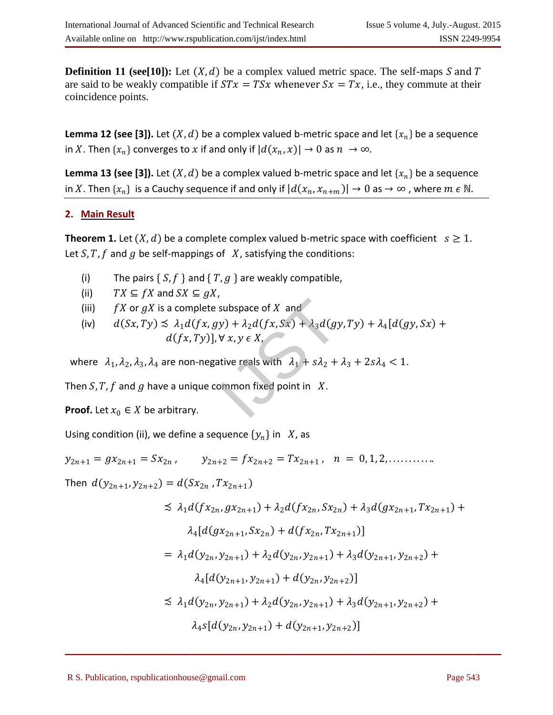**Definition 11 (see[10]):** Let  $(X, d)$  be a complex valued metric space. The self-maps S and T are said to be weakly compatible if  $STx = TSx$  whenever  $Sx = Tx$ , i.e., they commute at their coincidence points.

**Lemma 12 (see [3]).** Let  $(X, d)$  be a complex valued b-metric space and let  $\{x_n\}$  be a sequence in X. Then  $\{x_n\}$  converges to x if and only if  $|d(x_n, x)| \to 0$  as  $n \to \infty$ .

**Lemma 13 (see [3]).** Let  $(X, d)$  be a complex valued b-metric space and let  $\{x_n\}$  be a sequence in  $X.$  Then  $\{x_n\}$  is a Cauchy sequence if and only if  $|d(x_n,x_{n+m})|\to 0$  as  $\to\infty$  , where  $m\in\mathbb{N}.$ 

# **2. Main Result**

**Theorem 1.** Let  $(X, d)$  be a complete complex valued b-metric space with coefficient  $s \geq 1$ . Let S, T, f and g be self-mappings of  $X$ , satisfying the conditions:

- (i) The pairs  $\{ S, f \}$  and  $\{ T, g \}$  are weakly compatible,
- (ii)  $TX \subseteq fX$  and  $SX \subseteq gX$ ,
- (iii)  $fX$  or  $gX$  is a complete subspace of  $X$  and
- (iv)  $d(Sx, Ty) \le \lambda_1 d(fx, gy) + \lambda_2 d(fx, Sx) + \lambda_3 d(gy, Ty) + \lambda_4 [d(gy, Sx) +$  $d(fx, Ty)$ ,  $\forall x, y \in X$ subspace of *X* and<br>  $y$ ) +  $\lambda_2 d(fx, Sx) + \lambda_3 d(gy)$ <br>  $\forall x, y \in X$ ,<br>
ative reals with  $\lambda_1 + s\lambda_2 +$ <br>  $\lambda_1 + s\lambda_3 + s\lambda_4$

where  $\lambda_1, \lambda_2, \lambda_3, \lambda_4$  are non-negative reals with  $\lambda_1 + s\lambda_2 + \lambda_3 + 2s\lambda_4 < 1$ .

Then S, T, f and g have a unique common fixed point in  $X$ .

**Proof.** Let  $x_0 \in X$  be arbitrary.

Using condition (ii), we define a sequence  $\{y_n\}$  in  $X$ , as

$$
y_{2n+1} = gx_{2n+1} = Sx_{2n}
$$
,  $y_{2n+2} = fx_{2n+2} = Tx_{2n+1}$ ,  $n = 0, 1, 2, \ldots$ 

Then  $d(y_{2n+1}, y_{2n+2}) = d(Sx_{2n}, Tx_{2n+1})$ 

$$
\preceq \lambda_1 d(fx_{2n}, gx_{2n+1}) + \lambda_2 d(fx_{2n}, Sx_{2n}) + \lambda_3 d(gx_{2n+1}, Tx_{2n+1}) +
$$
  
\n
$$
\lambda_4 [d(gx_{2n+1}, Sx_{2n}) + d(fx_{2n}, Tx_{2n+1})]
$$
  
\n
$$
= \lambda_1 d(y_{2n}, y_{2n+1}) + \lambda_2 d(y_{2n}, y_{2n+1}) + \lambda_3 d(y_{2n+1}, y_{2n+2}) +
$$
  
\n
$$
\lambda_4 [d(y_{2n+1}, y_{2n+1}) + d(y_{2n}, y_{2n+2})]
$$
  
\n
$$
\preceq \lambda_1 d(y_{2n}, y_{2n+1}) + \lambda_2 d(y_{2n}, y_{2n+1}) + \lambda_3 d(y_{2n+1}, y_{2n+2}) +
$$
  
\n
$$
\lambda_4 s [d(y_{2n}, y_{2n+1}) + d(y_{2n+1}, y_{2n+2})]
$$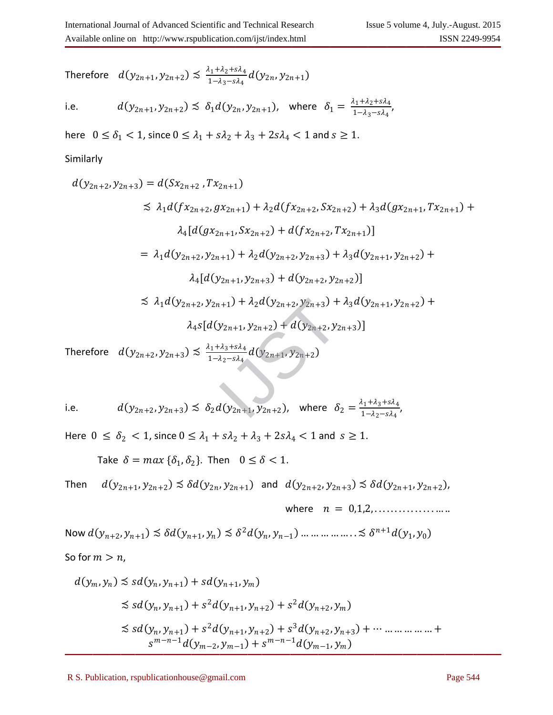Therefore  $d(y_{2n+1}, y_{2n+2}) \lesssim \frac{\lambda_1 + \lambda_2 + s\lambda_4}{1 - \lambda_2 - s\lambda_4}$  $\frac{11+2+3\lambda_4}{1-\lambda_3-s\lambda_4}$   $d(y_{2n}, y_{2n+1})$ 

i.e. 
$$
d(y_{2n+1}, y_{2n+2}) \leq \delta_1 d(y_{2n}, y_{2n+1})
$$
, where  $\delta_1 = \frac{\lambda_1 + \lambda_2 + s\lambda_4}{1 - \lambda_3 - s\lambda_4}$ ,

here  $0 \le \delta_1 < 1$ , since  $0 \le \lambda_1 + s\lambda_2 + \lambda_3 + 2s\lambda_4 < 1$  and  $s \ge 1$ .

## Similarly

$$
d(y_{2n+2}, y_{2n+3}) = d(Sx_{2n+2}, Tx_{2n+1})
$$
  
\n
$$
\leq \lambda_1 d(fx_{2n+2}, gx_{2n+1}) + \lambda_2 d(fx_{2n+2}, Sx_{2n+2}) + \lambda_3 d(gx_{2n+1}, Tx_{2n+1}) +
$$
  
\n
$$
\lambda_4 [d(gx_{2n+1}, Sx_{2n+2}) + d(fx_{2n+2}, Tx_{2n+1})]
$$
  
\n
$$
= \lambda_1 d(y_{2n+2}, y_{2n+1}) + \lambda_2 d(y_{2n+2}, y_{2n+3}) + \lambda_3 d(y_{2n+1}, y_{2n+2}) +
$$
  
\n
$$
\lambda_4 [d(y_{2n+1}, y_{2n+3}) + d(y_{2n+2}, y_{2n+2})]
$$
  
\n
$$
\leq \lambda_1 d(y_{2n+2}, y_{2n+1}) + \lambda_2 d(y_{2n+2}, y_{2n+3}) + \lambda_3 d(y_{2n+1}, y_{2n+2}) +
$$
  
\n
$$
\lambda_4 s [d(y_{2n+1}, y_{2n+2}) + d(y_{2n+2}, y_{2n+3})]
$$
  
\nTherefore  $d(y_{2n+2}, y_{2n+3}) \leq \frac{\lambda_1 + \lambda_3 + s\lambda_4}{1 - \lambda_2 - s\lambda_4} d(y_{2n+1}, y_{2n+2})$   
\ni.e.  $d(y_{2n+2}, y_{2n+3}) \leq \delta_2 d(y_{2n+1}, y_{2n+2})$ , where  $\delta_2 = \frac{\lambda_1 + \lambda_3 + s\lambda_4}{1 - \lambda_2 - s\lambda_4}$ ,

Therefore  $d(y_{2n+2}, y_{2n+3}) \lesssim \frac{\lambda_1 + \lambda_3 + s\lambda_4}{1 - \lambda_2 - s\lambda_4}$  $\frac{1+2a_3+8a_4}{1-a_2-sa_4}$   $d(y_{2n+1}, y_{2n+2})$ 

i.e. 
$$
d(y_{2n+2}, y_{2n+3}) \preceq \delta_2 d(y_{2n+1}, y_{2n+2})
$$
, where  $\delta_2 = \frac{\lambda_1 + \lambda_3 + s\lambda_4}{1 - \lambda_2 - s\lambda_4}$ ,

Here  $0 \leq \delta_2 < 1$ , since  $0 \leq \lambda_1 + s\lambda_2 + \lambda_3 + 2s\lambda_4 < 1$  and  $s \geq 1$ .

Take  $\delta = \max{\{\delta_1, \delta_2\}}$ . Then  $0 \le \delta < 1$ .

Then 
$$
d(y_{2n+1}, y_{2n+2}) \preceq \delta d(y_{2n}, y_{2n+1})
$$
 and  $d(y_{2n+2}, y_{2n+3}) \preceq \delta d(y_{2n+1}, y_{2n+2})$ ,

where  $n = 0.1, 2, \ldots, \ldots, \ldots, \ldots$ 

Now  $d(y_{n+2}, y_{n+1}) \precsim \delta d(y_{n+1}, y_n) \precsim \delta^2 d(y_n, y_{n-1}) \dots \dots \dots \dots \dots \precsim \delta^{n+1} d(y_1, y_0)$ 

So for 
$$
m > n
$$
,

$$
d(y_m, y_n) \lesssim sd(y_n, y_{n+1}) + sd(y_{n+1}, y_m)
$$
  
\n
$$
\lesssim sd(y_n, y_{n+1}) + s^2 d(y_{n+1}, y_{n+2}) + s^2 d(y_{n+2}, y_m)
$$
  
\n
$$
\lesssim sd(y_n, y_{n+1}) + s^2 d(y_{n+1}, y_{n+2}) + s^3 d(y_{n+2}, y_{n+3}) + \cdots \dots \dots \dots \dots
$$
  
\n
$$
s^{m-n-1} d(y_{m-2}, y_{m-1}) + s^{m-n-1} d(y_{m-1}, y_m)
$$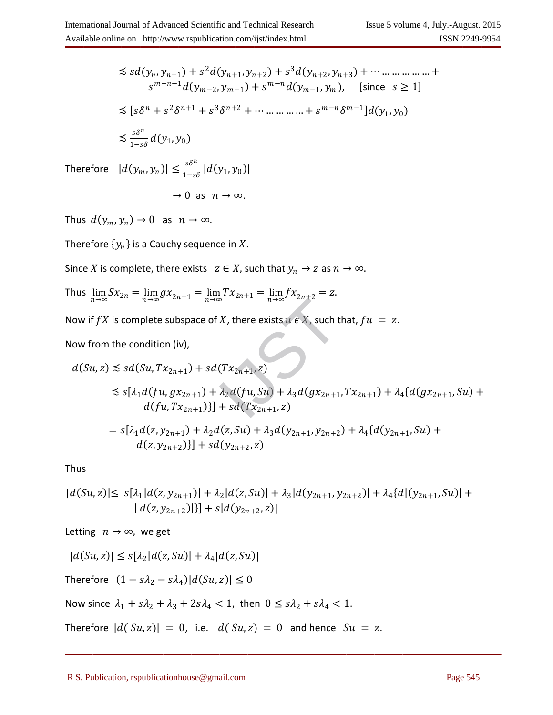$$
\leq sd(y_n, y_{n+1}) + s^2d(y_{n+1}, y_{n+2}) + s^3d(y_{n+2}, y_{n+3}) + \cdots \dots \dots \dots \dots \dots
$$
  
\n
$$
s^{m-n-1}d(y_{m-2}, y_{m-1}) + s^{m-n}d(y_{m-1}, y_m), \text{ [since } s \geq 1]
$$
  
\n
$$
\leq [s\delta^n + s^2\delta^{n+1} + s^3\delta^{n+2} + \cdots \dots \dots \dots \dots + s^{m-n}\delta^{m-1}]d(y_1, y_0)
$$
  
\n
$$
\leq \frac{s\delta^n}{1 - s\delta}d(y_1, y_0)
$$

Therefore  $|d(y_m, y_n)| \leq \frac{s\delta^n}{1-s}$  $\frac{50}{1-s\delta} |d(y_1, y_0)|$ 

$$
\rightarrow 0 \text{ as } n \rightarrow \infty.
$$

Thus  $d(y_m, y_n) \to 0$  as  $n \to \infty$ .

Therefore  $\{y_n\}$  is a Cauchy sequence in  $X$ .

Since X is complete, there exists  $z \in X$ , such that  $y_n \to z$  as  $n \to \infty$ .

Thus  $\lim_{n \to \infty} Sx_{2n} = \lim_{n \to \infty} gx_{2n+1} = \lim_{n \to \infty} Tx_{2n+1} = \lim_{n \to \infty} fx_{2n+2} = z.$ 

Now if  $fX$  is complete subspace of X, there exists  $u \in X$ , such that,  $fu = z$ .

Now from the condition (iv),

Now if 
$$
fX
$$
 is complete subspace of  $X$ , there exists  $u \in X$ , such that,  $fu = z$ .  
\nNow from the condition (iv),  
\n
$$
d(Su, z) \le sd(Su, Tx_{2n+1}) + sd(Tx_{2n+1}, z)
$$
\n
$$
\le s[\lambda_1 d(fu, gx_{2n+1}) + \lambda_2 d(fu, Su) + \lambda_3 d(gx_{2n+1}, Tx_{2n+1}) + \lambda_4 \{d(gx_{2n+1}, Su) + d(fu, Tx_{2n+1})\}] + sd(Tx_{2n+1}, z)
$$
\n
$$
= s[\lambda_1 d(z, y_{2n+1}) + \lambda_2 d(z, Su) + \lambda_3 d(y_{2n+1}, y_{2n+2}) + \lambda_4 \{d(y_{2n+1}, Su) + d(z, y_{2n+2})\}] + sd(y_{2n+2}, z)
$$

Thus

$$
|d(Su,z)| \leq s[\lambda_1|d(z,y_{2n+1})| + \lambda_2|d(z,Su)| + \lambda_3|d(y_{2n+1},y_{2n+2})| + \lambda_4\{d|(y_{2n+1},Su)| + |d(z,y_{2n+2})|\} + s|d(y_{2n+2},z)|
$$

 $\mathcal{L}=\{1,2,3,4\}$  , we can assume that  $\mathcal{L}=\{1,2,3,4\}$  , we can assume that  $\mathcal{L}=\{1,2,3,4\}$ 

Letting  $n \to \infty$ , we get

$$
|d(Su,z)| \le s[\lambda_2|d(z,Su)| + \lambda_4|d(z,Su)|
$$

Therefore  $(1 - s\lambda_2 - s\lambda_4)|d(Su, z)| \leq 0$ 

Now since  $\lambda_1 + s\lambda_2 + \lambda_3 + 2s\lambda_4 < 1$ , then  $0 \leq s\lambda_2 + s\lambda_4 < 1$ .

Therefore  $|d(Su, z)| = 0$ , i.e.  $d(Su, z) = 0$  and hence  $Su = z$ .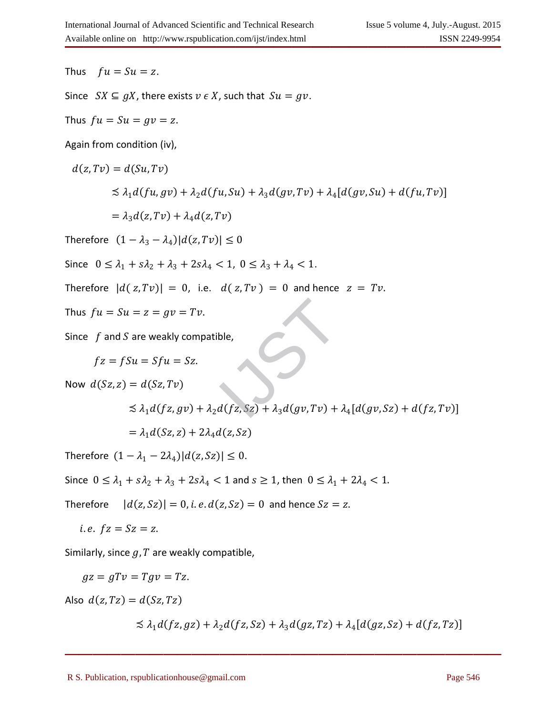Thus  $fu = Su = z$ .

Since  $SX \subseteq gX$ , there exists  $v \in X$ , such that  $Su = gv$ .

Thus  $fu = Su = gv = z$ .

Again from condition (iv),

$$
d(z, Tv) = d(Su, Tv)
$$
  
\n
$$
\leq \lambda_1 d(fu, gv) + \lambda_2 d(fu, Su) + \lambda_3 d(gv, Tv) + \lambda_4 [d(gv, Su) + d(fu, Tv)]
$$
  
\n
$$
= \lambda_3 d(z, Tv) + \lambda_4 d(z, Tv)
$$

Therefore  $(1 - \lambda_3 - \lambda_4) |d(z, Tv)| \leq 0$ 

Since  $0 \le \lambda_1 + s\lambda_2 + \lambda_3 + 2s\lambda_4 < 1$ ,  $0 \le \lambda_3 + \lambda_4 < 1$ .

Therefore  $|d(z, Tv)| = 0$ , i.e.  $d(z, Tv) = 0$  and hence  $z = Tv$ .

Thus 
$$
fu = Su = z = gv = Tv
$$
.

Since  $f$  and  $S$  are weakly compatible,

$$
f\mathbf{z} = f\mathbf{S}u = \mathbf{S}f\mathbf{u} = \mathbf{S}\mathbf{z}.
$$

Now  $d(Sz, z) = d(Sz, Tv)$ 

Thus 
$$
fu = Su = z = gv = Tv
$$
.  
\nSince  $f$  and  $S$  are weakly compatible,  
\n
$$
fz = fSu = Sfu = Sz.
$$
\nNow  $d(Sz, z) = d(Sz, Tv)$   
\n
$$
\leq \lambda_1 d(fz, gv) + \lambda_2 d(fz, Sz) + \lambda_3 d(gv, Tv) + \lambda_4 [d(gv, Sz) + d(fz, Tv)]
$$
\n
$$
= \lambda_1 d(Sz, z) + 2\lambda_4 d(z, Sz)
$$

Therefore  $(1 - \lambda_1 - 2\lambda_4)|d(z,Sz)| \leq 0.$ 

Since  $0 \leq \lambda_1 + s\lambda_2 + \lambda_3 + 2s\lambda_4 < 1$  and  $s \geq 1$ , then  $0 \leq \lambda_1 + 2\lambda_4 < 1$ .

Therefore  $|d(z, Sz)| = 0$ , *i. e.*  $d(z, Sz) = 0$  and hence  $Sz = z$ .

*i.e.*  $fz = Sz = z$ .

Similarly, since  $q$ ,  $T$  are weakly compatible,

$$
gz = gTv = Tgv = Tz.
$$

Also  $d(z, Tz) = d(Sz, Tz)$ 

$$
\lesssim \lambda_1 d(fz,gz) + \lambda_2 d(fz,Sz) + \lambda_3 d(gz,Tz) + \lambda_4 [d(gz,Sz) + d(fz,Tz)]
$$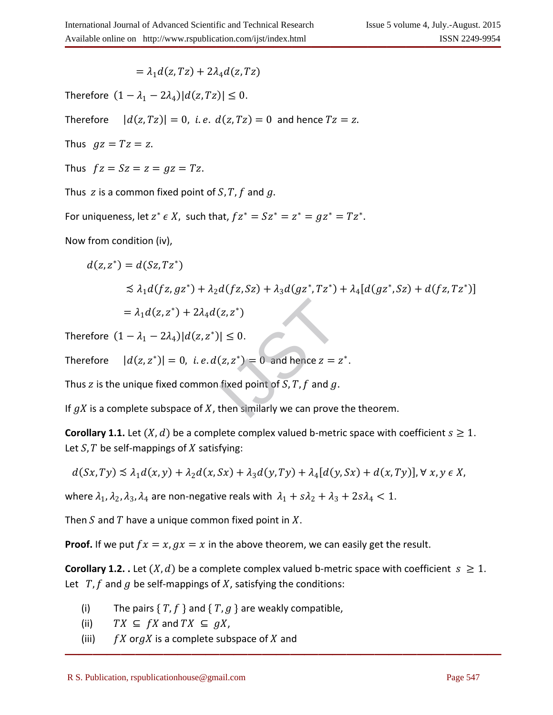$= \lambda_1 d(z, Tz) + 2\lambda_4 d(z, Tz)$ 

Therefore  $(1 - \lambda_1 - 2\lambda_4)|d(z,Tz)| \leq 0.$ 

Therefore  $|d(z, Tz)| = 0$ , *i.e.*  $d(z, Tz) = 0$  and hence  $Tz = z$ .

Thus  $gz = Tz = z$ .

Thus  $fz = Sz = z = gz = Tz$ .

Thus z is a common fixed point of  $S, T, f$  and g.

For uniqueness, let  $z^* \in X$ , such that,  $f z^* = S z^* = z^* = g z^* = T z^*$ .

Now from condition (iv),

$$
d(z, z^*) = d(Sz, Tz^*)
$$
  
\n
$$
\leq \lambda_1 d(fz, gz^*) + \lambda_2 d(fz, Sz) + \lambda_3 d(gz^*, Tz^*) + \lambda_4 [d(gz^*, Sz) + d(fz, Tz^*)]
$$
  
\n
$$
= \lambda_1 d(z, z^*) + 2\lambda_4 d(z, z^*)
$$
  
\nTherefore  $(1 - \lambda_1 - 2\lambda_4) |d(z, z^*)| \leq 0$ .  
\nTherefore  $|d(z, z^*)| = 0$ , *i. e. d(z, z^\*) = 0* and hence  $z = z^*$ .  
\nThus *z* is the unique fixed common fixed point of *S*, *T*, *f* and *g*.  
\nIf *gX* is a complete subspace of *X*, then similarly we can prove the theorem.

Therefore  $(1 - \lambda_1 - 2\lambda_4)|d(z, z^*)| \leq 0$ .

Therefore  $|d(z, z^*)| = 0$ , *i.e.*  $d(z, z^*) = 0$  and hence  $z = z^*$ .

Thus z is the unique fixed common fixed point of  $S, T, f$  and  $g$ .

If  $gX$  is a complete subspace of X, then similarly we can prove the theorem.

**Corollary 1.1.** Let  $(X, d)$  be a complete complex valued b-metric space with coefficient  $s \geq 1$ . Let  $S$ ,  $T$  be self-mappings of  $X$  satisfying:

$$
d(Sx, Ty) \lesssim \lambda_1 d(x, y) + \lambda_2 d(x, Sx) + \lambda_3 d(y, Ty) + \lambda_4 [d(y, Sx) + d(x, Ty)], \forall x, y \in X,
$$

where  $\lambda_1$ ,  $\lambda_2$ ,  $\lambda_3$ ,  $\lambda_4$  are non-negative reals with  $\lambda_1 + s\lambda_2 + \lambda_3 + 2s\lambda_4 < 1$ .

Then  $S$  and  $T$  have a unique common fixed point in  $X$ .

**Proof.** If we put  $fx = x$ ,  $gx = x$  in the above theorem, we can easily get the result.

**Corollary 1.2.** . Let  $(X, d)$  be a complete complex valued b-metric space with coefficient  $s \ge 1$ . Let  $T$ ,  $f$  and  $g$  be self-mappings of  $X$ , satisfying the conditions:

- (i) The pairs  $\{T, f\}$  and  $\{T, g\}$  are weakly compatible,
- (ii)  $TX \subseteq fX$  and  $TX \subseteq gX$ ,
- (iii)  $fX$  or  $gX$  is a complete subspace of  $X$  and